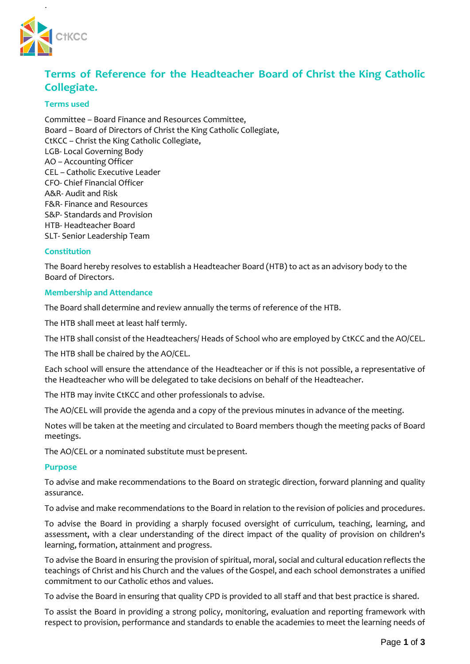

.

# **Terms of Reference for the Headteacher Board of Christ the King Catholic Collegiate.**

# **Terms used**

Committee – Board Finance and Resources Committee, Board – Board of Directors of Christ the King Catholic Collegiate, CtKCC – Christ the King Catholic Collegiate, LGB- Local Governing Body AO – Accounting Officer CEL – Catholic Executive Leader CFO- Chief Financial Officer A&R- Audit and Risk F&R- Finance and Resources S&P- Standards and Provision HTB- Headteacher Board SLT- Senior Leadership Team

# **Constitution**

The Board hereby resolves to establish a Headteacher Board (HTB) to act as an advisory body to the Board of Directors.

## **Membership and Attendance**

The Board shall determine and review annually the terms of reference of the HTB.

The HTB shall meet at least half termly.

The HTB shall consist of the Headteachers/ Heads of School who are employed by CtKCC and the AO/CEL.

The HTB shall be chaired by the AO/CEL.

Each school will ensure the attendance of the Headteacher or if this is not possible, a representative of the Headteacher who will be delegated to take decisions on behalf of the Headteacher.

The HTB may invite CtKCC and other professionals to advise.

The AO/CEL will provide the agenda and a copy of the previous minutes in advance of the meeting.

Notes will be taken at the meeting and circulated to Board members though the meeting packs of Board meetings.

The AO/CEL or a nominated substitute must be present.

### **Purpose**

To advise and make recommendations to the Board on strategic direction, forward planning and quality assurance.

To advise and make recommendations to the Board in relation to the revision of policies and procedures.

To advise the Board in providing a sharply focused oversight of curriculum, teaching, learning, and assessment, with a clear understanding of the direct impact of the quality of provision on children's learning, formation, attainment and progress.

To advise the Board in ensuring the provision of spiritual, moral, social and cultural education reflects the teachings of Christ and his Church and the values of the Gospel, and each school demonstrates a unified commitment to our Catholic ethos and values.

To advise the Board in ensuring that quality CPD is provided to all staff and that best practice is shared.

To assist the Board in providing a strong policy, monitoring, evaluation and reporting framework with respect to provision, performance and standards to enable the academies to meet the learning needs of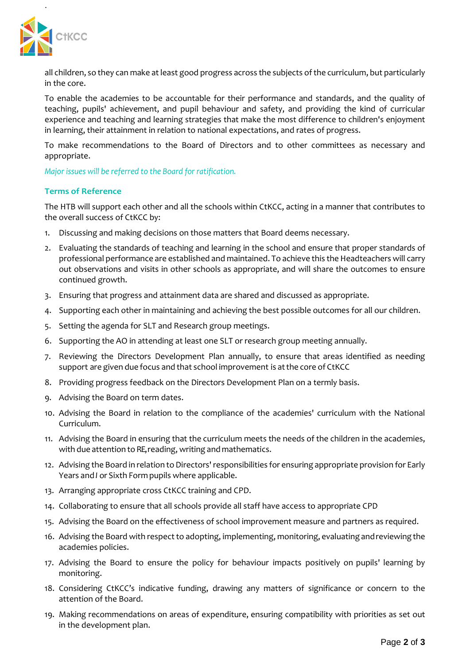

.

all children, so they can make at least good progress across the subjects of the curriculum, but particularly in the core.

To enable the academies to be accountable for their performance and standards, and the quality of teaching, pupils' achievement, and pupil behaviour and safety, and providing the kind of curricular experience and teaching and learning strategies that make the most difference to children's enjoyment in learning, their attainment in relation to national expectations, and rates of progress.

To make recommendations to the Board of Directors and to other committees as necessary and appropriate.

*Major issues will be referred to the Board for ratification.*

### **Terms of Reference**

The HTB will support each other and all the schools within CtKCC, acting in a manner that contributes to the overall success of CtKCC by:

- 1. Discussing and making decisions on those matters that Board deems necessary.
- 2. Evaluating the standards of teaching and learning in the school and ensure that proper standards of professional performance are established and maintained. To achieve this the Headteachers will carry out observations and visits in other schools as appropriate, and will share the outcomes to ensure continued growth.
- 3. Ensuring that progress and attainment data are shared and discussed as appropriate.
- 4. Supporting each other in maintaining and achieving the best possible outcomes for all our children.
- 5. Setting the agenda for SLT and Research group meetings.
- 6. Supporting the AO in attending at least one SLT or research group meeting annually.
- 7. Reviewing the Directors Development Plan annually, to ensure that areas identified as needing support are given due focus and that school improvement is atthe core of CtKCC
- 8. Providing progress feedback on the Directors Development Plan on a termly basis.
- 9. Advising the Board on term dates.
- 10. Advising the Board in relation to the compliance of the academies' curriculum with the National Curriculum.
- 11. Advising the Board in ensuring that the curriculum meets the needs of the children in the academies, with due attention to RE, reading, writing and mathematics.
- 12. Advising the Board in relation to Directors' responsibilities for ensuring appropriate provision for Early Years and*I* or Sixth Form pupils where applicable.
- 13. Arranging appropriate cross CtKCC training and CPD.
- 14. Collaborating to ensure that all schools provide all staff have access to appropriate CPD
- 15. Advising the Board on the effectiveness of school improvement measure and partners as required.
- 16. Advising the Board with respect to adopting, implementing, monitoring, evaluating andreviewing the academies policies.
- 17. Advising the Board to ensure the policy for behaviour impacts positively on pupils' learning by monitoring.
- 18. Considering CtKCC's indicative funding, drawing any matters of significance or concern to the attention of the Board.
- 19. Making recommendations on areas of expenditure, ensuring compatibility with priorities as set out in the development plan.